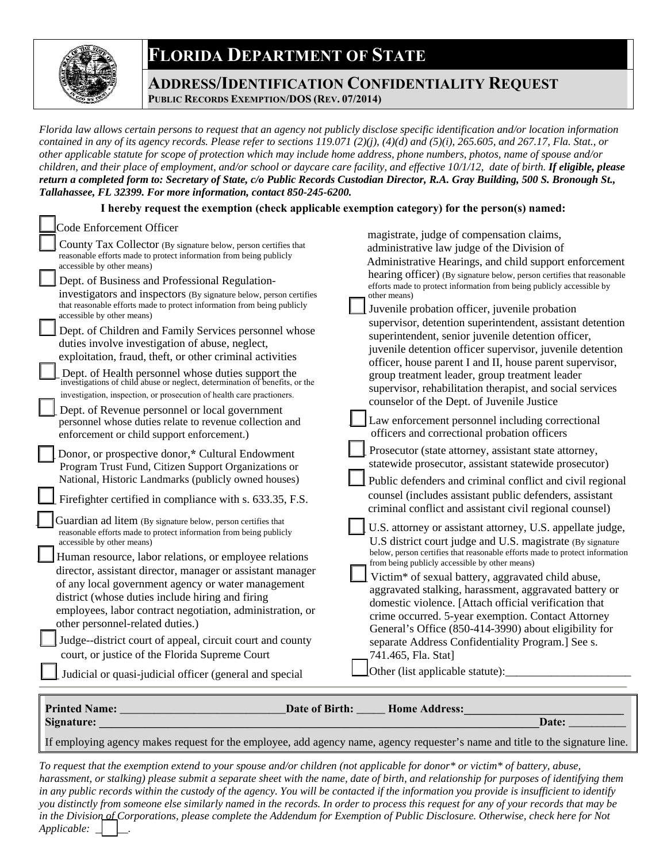## **FLORIDA DEPARTMENT OF STATE**



## **ADDRESS/IDENTIFICATION CONFIDENTIALITY REQUEST PUBLIC RECORDS EXEMPTION/DOS (REV. 07/2014)**

*Florida law allows certain persons to request that an agency not publicly disclose specific identification and/or location information contained in any of its agency records. Please refer to sections 119.071 (2)(j), (4)(d) and (5)(i), 265.605, and 267.17, Fla. Stat., or other applicable statute for scope of protection which may include home address, phone numbers, photos, name of spouse and/or children, and their place of employment, and/or school or daycare care facility, and effective 10/1/12, date of birth. If eligible, please return a completed form to: Secretary of State, c/o Public Records Custodian Director, R.A. Gray Building, 500 S. Bronough St., Tallahassee, FL 32399. For more information, contact 850-245-6200.* 

## **I hereby request the exemption (check applicable exemption category) for the person(s) named:**

| <b>Code Enforcement Officer</b><br>County Tax Collector (By signature below, person certifies that<br>reasonable efforts made to protect information from being publicly<br>accessible by other means)<br>Dept. of Business and Professional Regulation-<br>investigators and inspectors (By signature below, person certifies<br>that reasonable efforts made to protect information from being publicly<br>accessible by other means)<br>Dept. of Children and Family Services personnel whose<br>duties involve investigation of abuse, neglect,<br>exploitation, fraud, theft, or other criminal activities<br>Dept. of Health personnel whose duties support the<br>investigations of child abuse or neglect, determination of benefits, or the<br>investigation, inspection, or prosecution of health care practioners.<br>Dept. of Revenue personnel or local government<br>personnel whose duties relate to revenue collection and<br>enforcement or child support enforcement.)<br>Donor, or prospective donor,* Cultural Endowment<br>Program Trust Fund, Citizen Support Organizations or<br>National, Historic Landmarks (publicly owned houses)<br>Firefighter certified in compliance with s. 633.35, F.S.<br>Guardian ad litem (By signature below, person certifies that<br>reasonable efforts made to protect information from being publicly<br>accessible by other means)<br>Human resource, labor relations, or employee relations<br>director, assistant director, manager or assistant manager<br>of any local government agency or water management | magistrate, judge of compensation claims,<br>administrative law judge of the Division of<br>Administrative Hearings, and child support enforcement<br>hearing officer) (By signature below, person certifies that reasonable<br>efforts made to protect information from being publicly accessible by<br>other means)<br>Juvenile probation officer, juvenile probation<br>supervisor, detention superintendent, assistant detention<br>superintendent, senior juvenile detention officer,<br>juvenile detention officer supervisor, juvenile detention<br>officer, house parent I and II, house parent supervisor,<br>group treatment leader, group treatment leader<br>supervisor, rehabilitation therapist, and social services<br>counselor of the Dept. of Juvenile Justice<br>Law enforcement personnel including correctional<br>officers and correctional probation officers<br>Prosecutor (state attorney, assistant state attorney,<br>statewide prosecutor, assistant statewide prosecutor)<br>Public defenders and criminal conflict and civil regional<br>counsel (includes assistant public defenders, assistant<br>criminal conflict and assistant civil regional counsel)<br>U.S. attorney or assistant attorney, U.S. appellate judge,<br>U.S district court judge and U.S. magistrate (By signature<br>below, person certifies that reasonable efforts made to protect information<br>from being publicly accessible by other means)<br>Victim <sup>*</sup> of sexual battery, aggravated child abuse,<br>aggravated stalking, harassment, aggravated battery or |
|----------------------------------------------------------------------------------------------------------------------------------------------------------------------------------------------------------------------------------------------------------------------------------------------------------------------------------------------------------------------------------------------------------------------------------------------------------------------------------------------------------------------------------------------------------------------------------------------------------------------------------------------------------------------------------------------------------------------------------------------------------------------------------------------------------------------------------------------------------------------------------------------------------------------------------------------------------------------------------------------------------------------------------------------------------------------------------------------------------------------------------------------------------------------------------------------------------------------------------------------------------------------------------------------------------------------------------------------------------------------------------------------------------------------------------------------------------------------------------------------------------------------------------------------------------------------------|------------------------------------------------------------------------------------------------------------------------------------------------------------------------------------------------------------------------------------------------------------------------------------------------------------------------------------------------------------------------------------------------------------------------------------------------------------------------------------------------------------------------------------------------------------------------------------------------------------------------------------------------------------------------------------------------------------------------------------------------------------------------------------------------------------------------------------------------------------------------------------------------------------------------------------------------------------------------------------------------------------------------------------------------------------------------------------------------------------------------------------------------------------------------------------------------------------------------------------------------------------------------------------------------------------------------------------------------------------------------------------------------------------------------------------------------------------------------------------------------------------------------------------------------------------------------------------|
| district (whose duties include hiring and firing<br>employees, labor contract negotiation, administration, or<br>other personnel-related duties.)<br>Judge--district court of appeal, circuit court and county<br>court, or justice of the Florida Supreme Court<br>Judicial or quasi-judicial officer (general and special                                                                                                                                                                                                                                                                                                                                                                                                                                                                                                                                                                                                                                                                                                                                                                                                                                                                                                                                                                                                                                                                                                                                                                                                                                                | domestic violence. [Attach official verification that<br>crime occurred. 5-year exemption. Contact Attorney<br>General's Office (850-414-3990) about eligibility for<br>separate Address Confidentiality Program.] See s.<br>741.465, Fla. Stat]<br>Other (list applicable statute):                                                                                                                                                                                                                                                                                                                                                                                                                                                                                                                                                                                                                                                                                                                                                                                                                                                                                                                                                                                                                                                                                                                                                                                                                                                                                               |
| <b>Printed Name:</b><br>Date of Birth: _____<br>Home Address:                                                                                                                                                                                                                                                                                                                                                                                                                                                                                                                                                                                                                                                                                                                                                                                                                                                                                                                                                                                                                                                                                                                                                                                                                                                                                                                                                                                                                                                                                                              |                                                                                                                                                                                                                                                                                                                                                                                                                                                                                                                                                                                                                                                                                                                                                                                                                                                                                                                                                                                                                                                                                                                                                                                                                                                                                                                                                                                                                                                                                                                                                                                    |
| Signature:<br>Date:                                                                                                                                                                                                                                                                                                                                                                                                                                                                                                                                                                                                                                                                                                                                                                                                                                                                                                                                                                                                                                                                                                                                                                                                                                                                                                                                                                                                                                                                                                                                                        |                                                                                                                                                                                                                                                                                                                                                                                                                                                                                                                                                                                                                                                                                                                                                                                                                                                                                                                                                                                                                                                                                                                                                                                                                                                                                                                                                                                                                                                                                                                                                                                    |

If employing agency makes request for the employee, add agency name, agency requester's name and title to the signature line.

 *in the Division of Corporations, please complete the Addendum for Exemption of Public Disclosure. Otherwise, check here for Not Applicable:*  $\Box$   $\Box$ *To request that the exemption extend to your spouse and/or children (not applicable for donor\* or victim\* of battery, abuse, harassment, or stalking) please submit a separate sheet with the name, date of birth, and relationship for purposes of identifying them in any public records within the custody of the agency. You will be contacted if the information you provide is insufficient to identify you distinctly from someone else similarly named in the records. In order to process this request for any of your records that may be*